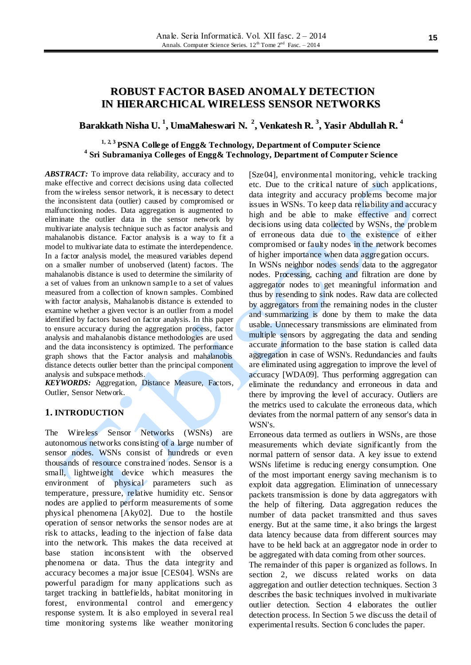# **ROBUST FACTOR BASED ANOMALY DETECTION IN HIERARCHICAL WIRELESS SENSOR NETWORKS**

# **Barakkath Nisha U. 1 , UmaMaheswari N. 2 , Venkatesh R. 3 , Yasir Abdullah R. 4**

# **1, 2, 3 PSNA College of Engg& Technology, Department of Computer Science 4 Sri Subramaniya Colleges of Engg& Technology, Department of Computer Science**

*ABSTRACT:* To improve data reliability, accuracy and to make effective and correct decisions using data collected from the wireless sensor network, it is necessary to detect the inconsistent data (outlier) caused by compromised or malfunctioning nodes. Data aggregation is augmented to eliminate the outlier data in the sensor network by multivariate analysis technique such as factor analysis and mahalanobis distance. Factor analysis is a way to fit a model to multivariate data to estimate the interdependence. In a factor analysis model, the measured variables depend on a smaller number of unobserved (latent) factors. The mahalanobis distance is used to determine the similarity of a set of values from an unknown samp1e to a set of values measured from a collection of known samples. Combined with factor analysis, Mahalanobis distance is extended to examine whether a given vector is an outlier from a model identified by factors based on factor analysis. In this paper to ensure accuracy during the aggregation process, factor analysis and mahalanobis distance methodologies are used and the data inconsistency is optimized. The performance graph shows that the Factor analysis and mahalanobis distance detects outlier better than the principal component analysis and subspace methods.

*KEYWORDS:* Aggregation, Distance Measure, Factors, Outlier, Sensor Network.

### **1. INTRODUCTION**

The Wireless Sensor Networks (WSNs) are autonomous networks consisting of a large number of sensor nodes. WSNs consist of hundreds or even thousands of resource constrained nodes. Sensor is a small, lightweight device which measures the environment of physical parameters such as temperature, pressure, relative humidity etc. Sensor nodes are applied to perform measurements of some physical phenomena [Aky02]. Due to the hostile operation of sensor networks the sensor nodes are at risk to attacks, leading to the injection of false data into the network. This makes the data received at base station inconsistent with the observed phenomena or data. Thus the data integrity and accuracy becomes a major issue [CES04]. WSNs are powerful paradigm for many applications such as target tracking in battlefields, habitat monitoring in forest, environmental control and emergency response system. It is also employed in several real time monitoring systems like weather monitoring

[Sze04], environmental monitoring, vehicle tracking etc. Due to the critical nature of such applications, data integrity and accuracy problems become major issues in WSNs. To keep data reliability and accuracy high and be able to make effective and correct decisions using data collected by WSNs, the problem of erroneous data due to the existence of either compromised or faulty nodes in the network becomes of higher importance when data aggregation occurs.

In WSNs neighbor nodes sends data to the aggregator nodes. Processing, caching and filtration are done by aggregator nodes to get meaningful information and thus by resending to sink nodes. Raw data are collected by aggregators from the remaining nodes in the cluster and summarizing is done by them to make the data usable. Unnecessary transmissions are eliminated from multiple sensors by aggregating the data and sending accurate information to the base station is called data aggregation in case of WSN's. Redundancies and faults are eliminated using aggregation to improve the level of accuracy [WDA09]. Thus performing aggregation can eliminate the redundancy and erroneous in data and there by improving the level of accuracy. Outliers are the metrics used to calculate the erroneous data, which deviates from the normal pattern of any sensor's data in WSN's.

Erroneous data termed as outliers in WSNs, are those measurements which deviate significantly from the normal pattern of sensor data. A key issue to extend WSNs lifetime is reducing energy consumption. One of the most important energy saving mechanism is to exploit data aggregation. Elimination of unnecessary packets transmission is done by data aggregators with the help of filtering. Data aggregation reduces the number of data packet transmitted and thus saves energy. But at the same time, it also brings the largest data latency because data from different sources may have to be held back at an aggregator node in order to be aggregated with data coming from other sources.

The remainder of this paper is organized as follows. In section 2, we discuss related works on data aggregation and outlier detection techniques. Section 3 describes the basic techniques involved in multivariate outlier detection. Section 4 elaborates the outlier detection process. In Section 5 we discuss the detail of experimental results. Section 6 concludes the paper.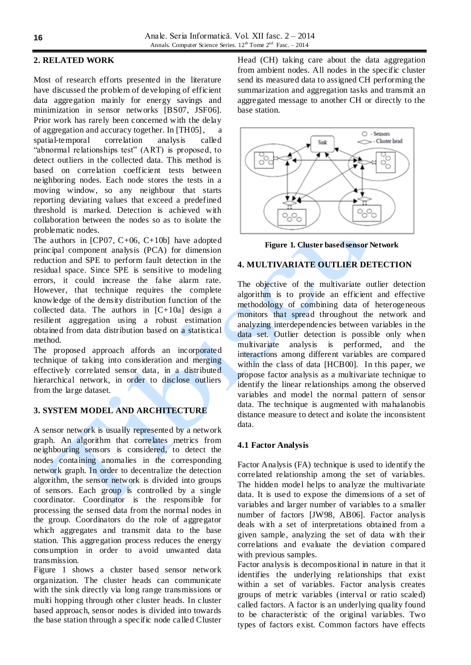# **2. RELATED WORK**

Most of research efforts presented in the literature have discussed the problem of developing of efficient data aggregation mainly for energy savings and minimization in sensor networks [BS07, JSF06]. Prior work has rarely been concerned with the delay of aggregation and accuracy together. In [TH05], a spatial-temporal correlation analysis called "abnormal relationships test" (ART) is proposed, to detect outliers in the collected data. This method is based on correlation coefficient tests between neighboring nodes. Each node stores the tests in a moving window, so any neighbour that starts reporting deviating values that exceed a predefined threshold is marked. Detection is achieved with collaboration between the nodes so as to isolate the problematic nodes.

The authors in [CP07,  $C+06$ ,  $C+10b$ ] have adopted principal component analysis (PCA) for dimension reduction and SPE to perform fault detection in the residual space. Since SPE is sensitive to modeling errors, it could increase the false alarm rate. However, that technique requires the complete knowledge of the density distribution function of the collected data. The authors in  $[C+10a]$  design a resilient aggregation using a robust estimation obtained from data distribution based on a statistical method.

The proposed approach affords an incorporated technique of taking into consideration and merging effectively correlated sensor data, in a distributed hierarchical network, in order to disclose outliers from the large dataset.

# **3. SYSTEM MODEL AND ARCHITECTURE**

A sensor network is usually represented by a network graph. An algorithm that correlates metrics from neighbouring sensors is considered, to detect the nodes containing anomalies in the corresponding network graph. In order to decentralize the detection algorithm, the sensor network is divided into groups of sensors. Each group is controlled by a single coordinator. Coordinator is the responsible for processing the sensed data from the normal nodes in the group. Coordinators do the role of aggregator which aggregates and transmit data to the base station. This aggregation process reduces the energy consumption in order to avoid unwanted data transmission.

Figure 1 shows a cluster based sensor network organization. The cluster heads can communicate with the sink directly via long range transmissions or multi hopping through other cluster heads. In cluster based approach, sensor nodes is divided into towards the base station through a specific node called Cluster

Head (CH) taking care about the data aggregation from ambient nodes. All nodes in the specific cluster send its measured data to assigned CH performing the summarization and aggregation tasks and transmit an aggregated message to another CH or directly to the base station.



**Figure 1. Cluster based sensor Network**

## **4. MULTIVARIATE OUTLIER DETECTION**

The objective of the multivariate outlier detection algorithm is to provide an efficient and effective methodology of combining data of heterogeneous monitors that spread throughout the network and analyzing interdependencies between variables in the data set. Outlier detection is possible only when multivariate analysis is performed, and the interactions among different variables are compared within the class of data [HCB00]. In this paper, we propose factor analysis as a multivariate technique to identify the linear relationships among the observed variables and model the normal pattern of sensor data. The technique is augmented with mahalanobis distance measure to detect and isolate the inconsistent data.

# **4.1 Factor Analysis**

Factor Analysis (FA) technique is used to identify the correlated relationship among the set of variables. The hidden model helps to analyze the multivariate data. It is used to expose the dimensions of a set of variables and larger number of variables to a smaller number of factors [JW98, AB06]. Factor analysis deals with a set of interpretations obtained from a given sample, analyzing the set of data with their correlations and evaluate the deviation compared with previous samples.

Factor analysis is decompositional in nature in that it identifies the underlying relationships that exist within a set of variables. Factor analysis creates groups of metric variables (interval or ratio scaled) called factors. A factor is an underlying quality found to be characteristic of the original variables. Two types of factors exist. Common factors have effects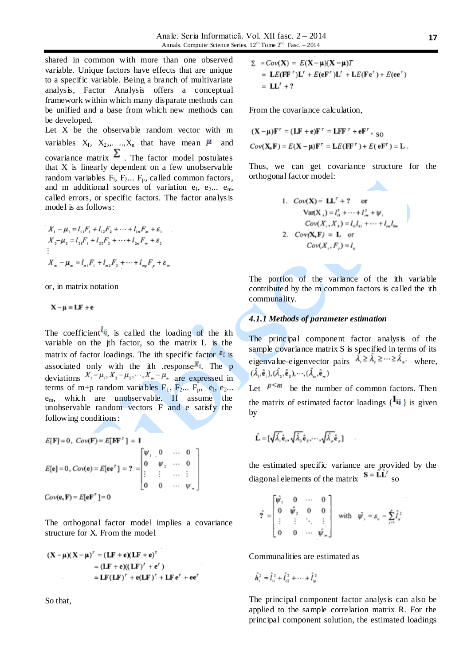shared in common with more than one observed variable. Unique factors have effects that are unique to a specific variable. Being a branch of multivariate analysis, Factor Analysis offers a conceptual framework within which many disparate methods can be unified and a base from which new methods can be developed.

Let X be the observable random vector with m variables  $X_1$ ,  $X_2$ ,,..., $X_n$  that have mean  $\mu$  and covariance matrix  $\Sigma$ . The factor model postulates that X is linearly dependent on a few unobservable random variables  $F_1$ ,  $F_2$ ...  $F_p$ , called common factors, and m additional sources of variation  $e_1$ ,  $e_2$ ...  $e_m$ , called errors, or specific factors. The factor analysis model is as follows:

$$
X_1 - \mu_1 = l_{11}F_1 + l_{12}F_2 + \dots + l_{1n}F_n + \varepsilon_1
$$
  
\n
$$
X_2 - \mu_2 = l_{21}F_1 + l_{22}F_2 + \dots + l_{2n}F_n + \varepsilon_2
$$
  
\n:  
\n:  
\n
$$
X_n - \mu_n = l_{n1}F_1 + l_{n2}F_2 + \dots + l_{np}F_p + \varepsilon_n
$$

or, in matrix notation

 $X - \mu = LF + e$ 

The coefficient  $l_{ij}$ , is called the loading of the ith variable on the jth factor, so the matrix L is the matrix of factor loadings. The ith specific factor  $\epsilon_i$  is associated only with the ith response  $X_i$ . The p deviations  $X_1 - \mu_1, X_2 - \mu_2, \dots, X_n - \mu_n$  are expressed in terms of m+p random variables  $F_1$ ,  $F_2$ ...  $F_p$ ,  $e_1$ ,  $e_2$ ... em, which are unobservable. If assume the unobservable random vectors F and e satisfy the following conditions:

$$
E[\mathbf{F}] = 0, \ Cov(\mathbf{F}) = E[\mathbf{F}\mathbf{F}^T] = \mathbf{I}
$$
  
\n
$$
E[\mathbf{e}] = 0, \ Cov(\mathbf{e}) = E[\mathbf{e}\mathbf{e}^T] = ? = \begin{bmatrix} \psi_1 & 0 & \cdots & 0 \\ 0 & \psi_2 & \cdots & 0 \\ \vdots & \vdots & \cdots & \vdots \\ 0 & 0 & \cdots & \psi_m \end{bmatrix}
$$
  
\n
$$
Cov(\mathbf{e}, \mathbf{F}) = E[\mathbf{e}\mathbf{F}^T] = 0
$$

The orthogonal factor model implies a covariance structure for X. From the model

$$
(\mathbf{X} - \boldsymbol{\mu})(\mathbf{X} - \boldsymbol{\mu})^{\mathsf{T}} = (\mathbf{L}\mathbf{F} + \mathbf{e})(\mathbf{L}\mathbf{F} + \mathbf{e})^{\mathsf{T}}
$$
  
= (\mathbf{L}\mathbf{F} + \mathbf{e})(\mathbf{L}\mathbf{F})^{\mathsf{T}} + \mathbf{e}^{\mathsf{T}})  
= \mathbf{L}\mathbf{F}(\mathbf{L}\mathbf{F})^{\mathsf{T}} + \mathbf{e}(\mathbf{L}\mathbf{F})^{\mathsf{T}} + \mathbf{L}\mathbf{F}\mathbf{e}^{\mathsf{T}} + \mathbf{e}\mathbf{e}^{\mathsf{T}}

So that,

$$
\Sigma = Cov(\mathbf{X}) = E(\mathbf{X} - \mu)(\mathbf{X} - \mu)T
$$
  
=  $\mathbf{L}E(\mathbf{F}\mathbf{F}^T)\mathbf{L}^T + E(\mathbf{e}\mathbf{F}^T)\mathbf{L}^T + \mathbf{L}E(\mathbf{F}\mathbf{e}^T) + E(\mathbf{e}\mathbf{e}^T)$   
=  $\mathbf{L}\mathbf{L}^T + ?$ 

From the covariance calculation,

$$
(\mathbf{X} - \mathbf{\mu})\mathbf{F}^{\dagger} = (\mathbf{L}\mathbf{F} + \mathbf{e})\mathbf{F}^{\dagger} = \mathbf{L}\mathbf{F}\mathbf{F}^{\dagger} + \mathbf{e}\mathbf{F}^{\dagger}, \text{ so}
$$

$$
Cov(\mathbf{X}, \mathbf{F}) = E(\mathbf{X} - \mathbf{\mu})\mathbf{F}^{\dagger} = \mathbf{L}E(\mathbf{F}\mathbf{F}^{\dagger}) + E(\mathbf{e}\mathbf{F}^{\dagger}) = \mathbf{L}.
$$

Thus, we can get covariance structure for the orthogonal factor model:

\n- 1. 
$$
Cov(\mathbf{X}) = \mathbf{L}\mathbf{L}^T + 2
$$
 or  $\text{Var}(\mathbf{X}_1) = l_0^2 + \cdots + l_m^2 + \psi$ ,  $Cov(X_1, X_1) = l_n l_{n_1} + \cdots + l_m l_m$
\n- 2.  $Cov(\mathbf{X}, \mathbf{F}) = \mathbf{L}$  or  $Cov(X_1, F_1) = l_w$
\n

The portion of the variance of the ith variable contributed by the m common factors is called the ith communality.

#### *4.1.1 Methods of parameter estimation*

The principal component factor analysis of the sample covariance matrix S is specified in terms of its eigenvalue-eigenvector pairs  $\hat{\lambda}_i \geq \hat{\lambda}_i \geq \cdots \geq \hat{\lambda}_n$  where.  $(\hat{\lambda}_{1}, \hat{\mathbf{e}}_{1}), (\hat{\lambda}_{2}, \hat{\mathbf{e}}_{2}), \cdots, (\hat{\lambda}_{n}, \hat{\mathbf{e}}_{n})$ 

Let  $P^{\leq m}$  be the number of common factors. Then the matrix of estimated factor loadings  $\{\mathbf{1}_{ij}\}\)$  is given by

$$
\hat{\mathbf{L}} = [\sqrt{\hat{\lambda}_1} \hat{\mathbf{e}}_1, \sqrt{\hat{\lambda}_2} \hat{\mathbf{e}}_2, \cdots, \sqrt{\hat{\lambda}_p} \hat{\mathbf{e}}_p]
$$

the estimated specific variance are provided by the diagonal elements of the matrix  $S = \hat{L}\hat{L}^r$  so

J.

$$
\hat{\Upsilon} = \begin{bmatrix} \hat{\psi}_1 & 0 & \cdots & 0 \\ 0 & \hat{\psi}_2 & 0 & 0 \\ \vdots & \vdots & \ddots & \vdots \\ 0 & 0 & \cdots & \hat{\psi}_n \end{bmatrix} \quad \text{with} \quad \hat{\psi}_i = s_{ii} - \sum_{j=1}^r \hat{I}_{ij}^2
$$

Communalities are estimated as

$$
\hat{h}_i^2 = \hat{l}_{i1}^2 + \hat{l}_{i2}^2 + \dots + \hat{l}_{in}^2
$$

The principal component factor analysis can also be applied to the sample correlation matrix R. For the principal component solution, the estimated loadings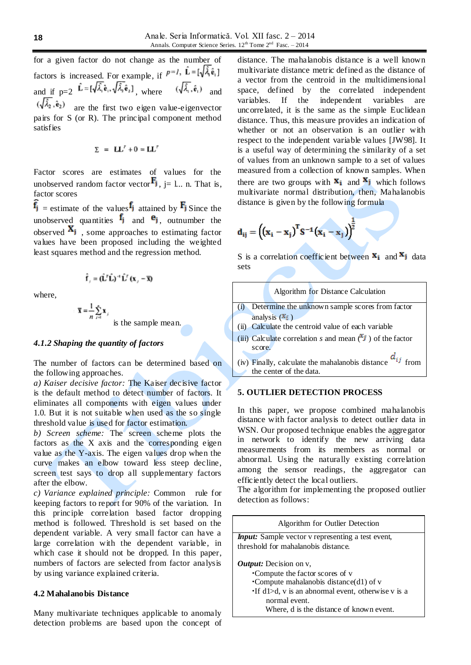for a given factor do not change as the number of factors is increased. For example, if  $P^{-1}$ ,  $\hat{\mathbf{L}} = [\sqrt{\hat{\lambda}}_1 \hat{\mathbf{e}}_1]$ and if  $p=2$   $\hat{\mathbf{L}} = [\sqrt{\hat{\lambda}_1} \hat{\mathbf{e}}_1, \sqrt{\hat{\lambda}_2} \hat{\mathbf{e}}_2]$ , where  $(\sqrt{\hat{\lambda}_1}, \hat{\mathbf{e}}_1)$  and  $(\sqrt{\lambda_2}, \hat{e}_2)$  are the first two eigen value-eigenvector pairs for S (or R). The principal component method satisfies

$$
\Sigma = LL^r + 0 = LL^r
$$

Factor scores are estimates of values for the unobserved random factor vector  $\mathbf{F}_j$ , j= l... n. That is, factor scores

 $\hat{f}_j$  = estimate of the values  $f_j$  attained by  $F_j$  Since the unobserved quantities  $f_j$  and  $e_j$ , outnumber the observed  $\mathbf{A}_i$ , some approaches to estimating factor values have been proposed including the weighted least squares method and the regression method.

$$
\hat{\mathbf{f}}_{i} = (\hat{\mathbf{L}}^{T} \hat{\mathbf{L}})^{-1} \hat{\mathbf{L}}^{T} (\mathbf{x}_{i} - \overline{\mathbf{x}})
$$

where,

 $\overline{\mathbf{x}} = \frac{1}{n} \sum_{i=1}^{n} \mathbf{x}_i$ is the sample mean.

# *4.1.2 Shaping the quantity of factors*

The number of factors can be determined based on the following approaches.

*a) Kaiser decisive factor:* The Kaiser decisive factor is the default method to detect number of factors. It eliminates all components with eigen values under 1.0. But it is not suitable when used as the so single threshold value is used for factor estimation.

*b) Screen scheme:* The screen scheme plots the factors as the X axis and the corresponding eigen value as the Y-axis. The eigen values drop when the curve makes an elbow toward less steep decline, screen test says to drop all supplementary factors after the elbow.

*c) Variance explained principle:* Common rule for keeping factors to report for 90% of the variation. In this principle correlation based factor dropping method is followed. Threshold is set based on the dependent variable. A very small factor can have a large correlation with the dependent variable, in which case it should not be dropped. In this paper, numbers of factors are selected from factor analysis by using variance explained criteria.

#### **4.2 Mahalanobis Distance**

Many multivariate techniques applicable to anomaly detection problems are based upon the concept of

distance. The mahalanobis distance is a well known multivariate distance metric defined as the distance of a vector from the centroid in the multidimensional space, defined by the correlated independent variables. If the independent variables are uncorrelated, it is the same as the simple Euclidean distance. Thus, this measure provides an indication of whether or not an observation is an outlier with respect to the independent variable values [JW98]. It is a useful way of determining the similarity of a set of values from an unknown sample to a set of values measured from a collection of known samples. When there are two groups with  $\mathbf{x}_i$  and  $\mathbf{x}_j$  which follows multivariate normal distribution, then, Mahalanobis distance is given by the following formula

$$
d_{ij} = ((x_i - x_j)^T S^{-1} (x_i - x_j))^{\frac{1}{2}}
$$

S is a correlation coefficient between  $\mathbf{x}_i$  and  $\mathbf{x}_j$  data sets

| Algorithm for Distance Calculation                                                           |
|----------------------------------------------------------------------------------------------|
| Determine the unknown sample scores from factor                                              |
| analysis $(X_i)$                                                                             |
| (ii) Calculate the centroid value of each variable                                           |
| (iii) Calculate correlation s and mean $(X_j)$ of the factor<br>score.                       |
| $d_{ij}$ from<br>(iv) Finally, calculate the mahalanobis distance<br>the center of the data. |
|                                                                                              |

### **5. OUTLIER DETECTION PROCESS**

In this paper, we propose combined mahalanobis distance with factor analysis to detect outlier data in WSN. Our proposed technique enables the aggregator in network to identify the new arriving data measurements from its members as normal or abnormal. Using the naturally existing correlation among the sensor readings, the aggregator can efficiently detect the local outliers.

The algorithm for implementing the proposed outlier detection as follows:

| Algorithm for Outlier Detection                                                                                                                                                                                                            |
|--------------------------------------------------------------------------------------------------------------------------------------------------------------------------------------------------------------------------------------------|
| <b><i>Input:</i></b> Sample vector v representing a test event,                                                                                                                                                                            |
| threshold for mahalanobis distance.                                                                                                                                                                                                        |
| <i>Output:</i> Decision on v,<br>•Compute the factor scores of v<br>•Compute mahalanobis distance(d1) of $v$<br>$\cdot$ If d1 $>$ d, v is an abnormal event, otherwise v is a<br>normal event.<br>Where, d is the distance of known event. |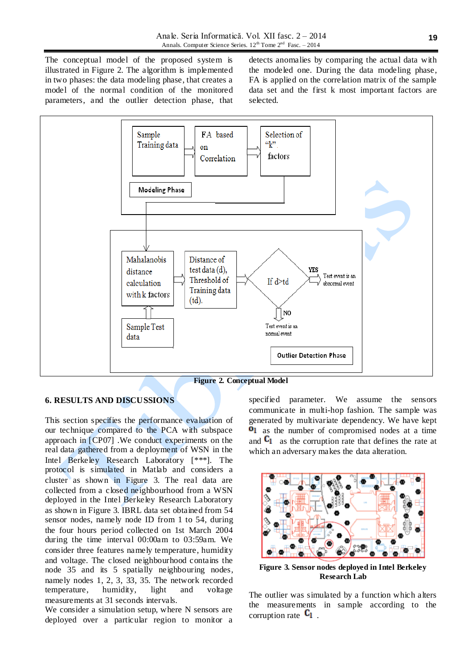The conceptual model of the proposed system is illustrated in Figure 2. The algorithm is implemented in two phases: the data modeling phase, that creates a model of the normal condition of the monitored parameters, and the outlier detection phase, that

detects anomalies by comparing the actual data with the modeled one. During the data modeling phase, FA is applied on the correlation matrix of the sample data set and the first k most important factors are selected.



**Figure 2. Conceptual Model**

## **6. RESULTS AND DISCUSSIONS**

This section specifies the performance evaluation of our technique compared to the PCA with subspace approach in [CP07] .We conduct experiments on the real data gathered from a deployment of WSN in the Intel Berkeley Research Laboratory [\*\*\*]. The protocol is simulated in Matlab and considers a cluster as shown in Figure 3. The real data are collected from a closed neighbourhood from a WSN deployed in the Intel Berkeley Research Laboratory as shown in Figure 3. IBRL data set obtained from 54 sensor nodes, namely node ID from 1 to 54, during the four hours period collected on 1st March 2004 during the time interval 00:00am to 03:59am. We consider three features namely temperature, humidity and voltage. The closed neighbourhood contains the node 35 and its 5 spatially neighbouring nodes, namely nodes 1, 2, 3, 33, 35. The network recorded temperature, humidity, light and voltage measurements at 31 seconds intervals.

We consider a simulation setup, where N sensors are deployed over a particular region to monitor a

specified parameter. We assume the sensors communicate in multi-hop fashion. The sample was generated by multivariate dependency. We have kept **0**l as the number of compromised nodes at a time and  $C_1$  as the corruption rate that defines the rate at which an adversary makes the data alteration.



**Figure 3. Sensor nodes deployed in Intel Berkeley Research Lab**

The outlier was simulated by a function which alters the measurements in sample according to the corruption rate  $C_1$ .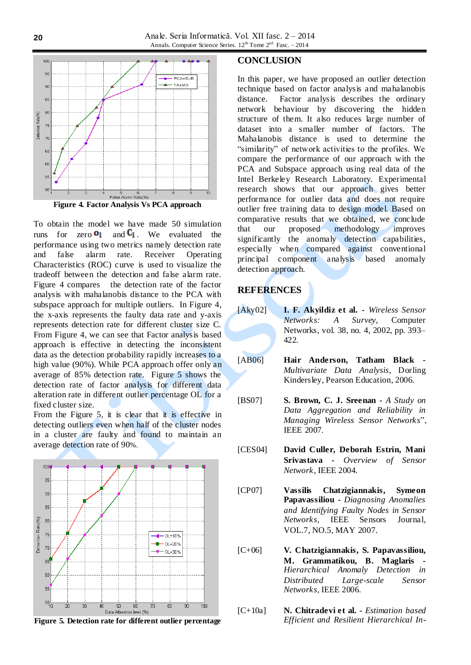



From the Figure 5, it is clear that it is effective in detecting outliers even when half of the cluster nodes in a cluster are faulty and found to maintain an average detection rate of 90%.



**Figure 5. Detection rate for different outlier percentage**

### **CONCLUSION**

In this paper, we have proposed an outlier detection technique based on factor analysis and mahalanobis distance. Factor analysis describes the ordinary network behaviour by discovering the hidden structure of them. It also reduces large number of dataset into a smaller number of factors. The Mahalanobis distance is used to determine the "similarity" of network activities to the profiles. We compare the performance of our approach with the PCA and Subspace approach using real data of the Intel Berkeley Research Laboratory. Experimental research shows that our approach gives better performance for outlier data and does not require outlier free training data to design model. Based on comparative results that we obtained, we conclude<br>that our proposed methodology improves that our proposed methodology improves significantly the anomaly detection capabilities, especially when compared against conventional principal component analysis based anomaly detection approach.

# **REFERENCES**

- [Aky02] **I. F. Akyildiz et al. -** *Wireless Sensor Networks: A Survey,* Computer Networks, vol. 38, no. 4, 2002, pp. 393– 422.
- [AB06] **Hair Anderson, Tatham Black -** *Multivariate Data Analysis*, Dorling Kindersley, Pearson Education, 2006.
- [BS07] **S. Brown, C. J. Sreenan -** *A Study on Data Aggregation and Reliability in Managing Wireless Sensor Networks*", IEEE 2007.
- [CES04] **David Culler, Deborah Estrin, Mani Srivastava -** *Overview of Sensor Network*, IEEE 2004.
- [CP07] **Vassilis Chatzigiannakis, Symeon Papavassiliou -** *Diagnosing Anomalies and Identifying Faulty Nodes in Sensor Networks,* IEEE Sensors Journal, VOL.7, NO.5, MAY 2007.
- [C+06] **V. Chatzigiannakis, S. Papavassiliou, M. Grammatikou, B. Maglaris -** *Hierarchical Anomaly Detection in Distributed Large-scale Sensor Networks*, IEEE 2006.
- [C+10a] **N. Chitradevi et al. -** *Estimation based Efficient and Resilient Hierarchical In-*